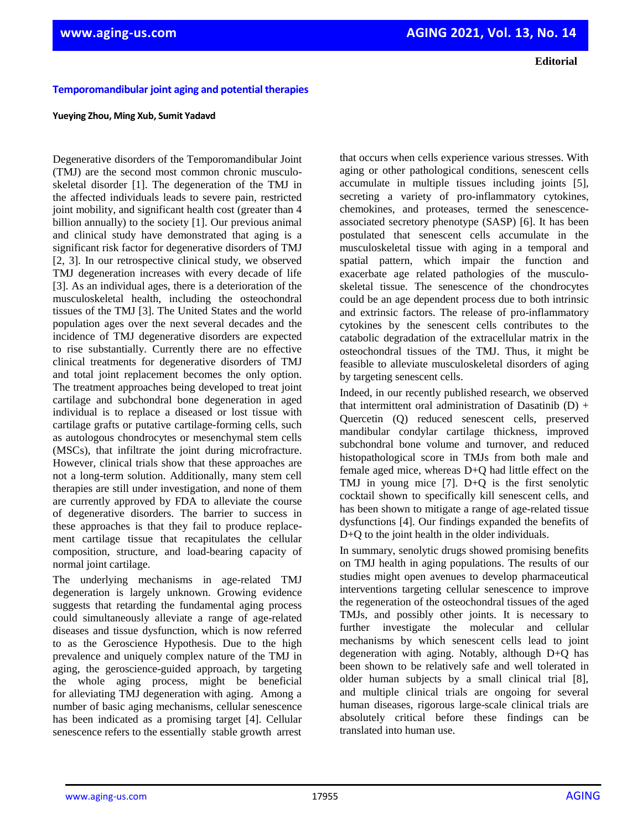**Editorial**

## **Temporomandibular joint aging and potential therapies**

### **Yueying Zhou, Ming Xub, Sumit Yadavd**

Degenerative disorders of the Temporomandibular Joint (TMJ) are the second most common chronic musculoskeletal disorder [1]. The degeneration of the TMJ in the affected individuals leads to severe pain, restricted joint mobility, and significant health cost (greater than 4 billion annually) to the society [1]. Our previous animal and clinical study have demonstrated that aging is a significant risk factor for degenerative disorders of TMJ [2, 3]. In our retrospective clinical study, we observed TMJ degeneration increases with every decade of life [3]. As an individual ages, there is a deterioration of the musculoskeletal health, including the osteochondral tissues of the TMJ [3]. The United States and the world population ages over the next several decades and the incidence of TMJ degenerative disorders are expected to rise substantially. Currently there are no effective clinical treatments for degenerative disorders of TMJ and total joint replacement becomes the only option. The treatment approaches being developed to treat joint cartilage and subchondral bone degeneration in aged individual is to replace a diseased or lost tissue with cartilage grafts or putative cartilage-forming cells, such as autologous chondrocytes or mesenchymal stem cells (MSCs), that infiltrate the joint during microfracture. However, clinical trials show that these approaches are not a long-term solution. Additionally, many stem cell therapies are still under investigation, and none of them are currently approved by FDA to alleviate the course of degenerative disorders. The barrier to success in these approaches is that they fail to produce replacement cartilage tissue that recapitulates the cellular composition, structure, and load-bearing capacity of normal joint cartilage.

The underlying mechanisms in age-related TMJ degeneration is largely unknown. Growing evidence suggests that retarding the fundamental aging process could simultaneously alleviate a range of age-related diseases and tissue dysfunction, which is now referred to as the Geroscience Hypothesis. Due to the high prevalence and uniquely complex nature of the TMJ in aging, the geroscience-guided approach, by targeting the whole aging process, might be beneficial for alleviating TMJ degeneration with aging. Among a number of basic aging mechanisms, cellular senescence has been indicated as a promising target [4]. Cellular senescence refers to the essentially stable growth arrest

that occurs when cells experience various stresses. With aging or other pathological conditions, senescent cells accumulate in multiple tissues including joints [5], secreting a variety of pro-inflammatory cytokines, chemokines, and proteases, termed the senescenceassociated secretory phenotype (SASP) [6]. It has been postulated that senescent cells accumulate in the musculoskeletal tissue with aging in a temporal and spatial pattern, which impair the function and exacerbate age related pathologies of the musculoskeletal tissue. The senescence of the chondrocytes could be an age dependent process due to both intrinsic and extrinsic factors. The release of pro-inflammatory cytokines by the senescent cells contributes to the catabolic degradation of the extracellular matrix in the osteochondral tissues of the TMJ. Thus, it might be feasible to alleviate musculoskeletal disorders of aging by targeting senescent cells.

Indeed, in our recently published research, we observed that intermittent oral administration of Dasatinib  $(D) +$ Quercetin (Q) reduced senescent cells, preserved mandibular condylar cartilage thickness, improved subchondral bone volume and turnover, and reduced histopathological score in TMJs from both male and female aged mice, whereas D+Q had little effect on the TMJ in young mice [7]. D+Q is the first senolytic cocktail shown to specifically kill senescent cells, and has been shown to mitigate a range of age-related tissue dysfunctions [4]. Our findings expanded the benefits of D+Q to the joint health in the older individuals.

In summary, senolytic drugs showed promising benefits on TMJ health in aging populations. The results of our studies might open avenues to develop pharmaceutical interventions targeting cellular senescence to improve the regeneration of the osteochondral tissues of the aged TMJs, and possibly other joints. It is necessary to further investigate the molecular and cellular mechanisms by which senescent cells lead to joint degeneration with aging. Notably, although D+Q has been shown to be relatively safe and well tolerated in older human subjects by a small clinical trial [8], and multiple clinical trials are ongoing for several human diseases, rigorous large-scale clinical trials are absolutely critical before these findings can be translated into human use.